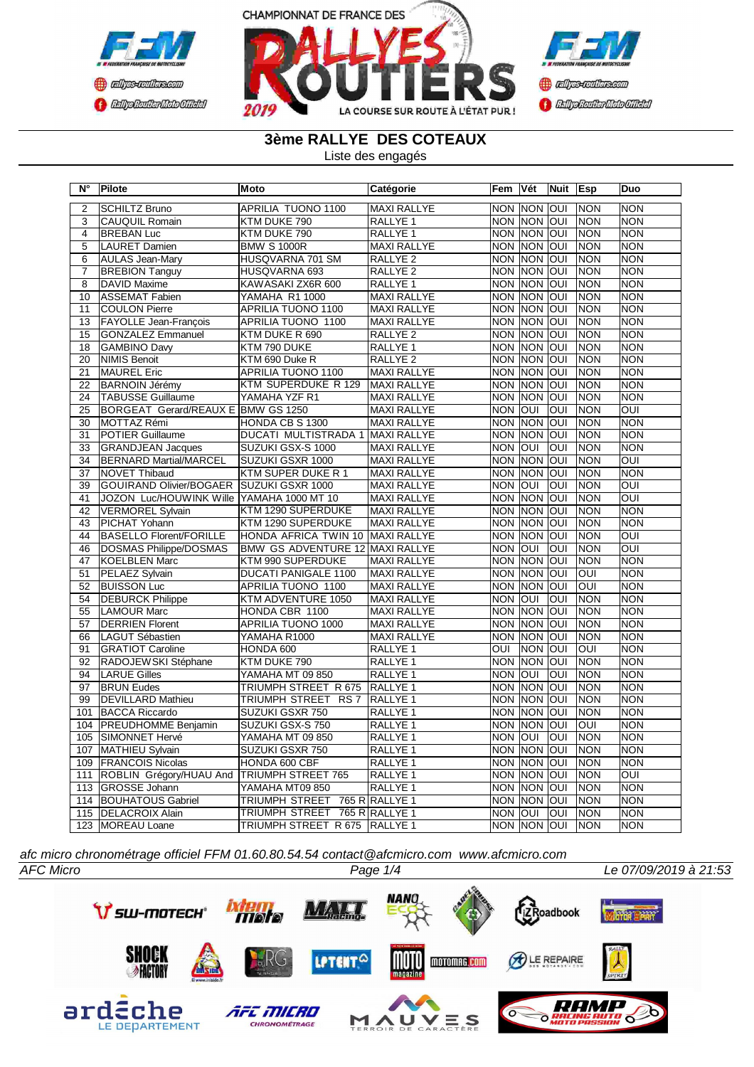



## **3ème RALLYE DES COTEAUX**

Liste des engagés

| $\overline{\mathsf{N}^{\circ}}$ | Pilote                                     | Moto                              | Catégorie           | Fem              | <b>Vét</b>     | Nuit                    | <b>TEsp</b>       | Duo                     |
|---------------------------------|--------------------------------------------|-----------------------------------|---------------------|------------------|----------------|-------------------------|-------------------|-------------------------|
| 2                               | <b>SCHILTZ Bruno</b>                       | <b>APRILIA TUONO 1100</b>         | <b>MAXI RALLYE</b>  |                  | NON INON IOUI  |                         | <b>NON</b>        | <b>NON</b>              |
| $\overline{3}$                  | CAUQUIL Romain                             | KTM DUKE 790                      | RALLYE <sub>1</sub> |                  | <b>NON NON</b> | loui                    | <b>NON</b>        | <b>NON</b>              |
| 4                               | <b>BREBAN Luc</b>                          | KTM DUKE 790                      | RALLYE 1            |                  | NON NON        | loui                    | <b>NON</b>        | <b>NON</b>              |
| 5                               | <b>LAURET Damien</b>                       | <b>BMW S 1000R</b>                | <b>MAXI RALLYE</b>  | <b>NON</b>       | <b>INON</b>    | loui                    | <b>NON</b>        | <b>NON</b>              |
| 6                               | <b>AULAS Jean-Mary</b>                     | HUSQVARNA 701 SM                  | RALLYE <sub>2</sub> |                  | NON NON        | loui                    | <b>NON</b>        | <b>NON</b>              |
| 7                               | <b>BREBION Tanguy</b>                      | HUSQVARNA 693                     | RALLYE <sub>2</sub> | <b>NON</b>       | <b>NON</b>     | loui                    | <b>NON</b>        | <b>NON</b>              |
| 8                               | <b>DAVID Maxime</b>                        | KAWASAKI ZX6R 600                 | RALLYE <sub>1</sub> |                  | NON INON       | loui                    | <b>NON</b>        | <b>NON</b>              |
| 10                              | <b>ASSEMAT Fabien</b>                      | <b>YAMAHA R1 1000</b>             | <b>MAXI RALLYE</b>  | <b>NON</b>       | <b>INON</b>    | OUI                     | <b>NON</b>        | <b>NON</b>              |
| $\overline{11}$                 | <b>COULON Pierre</b>                       | <b>APRILIA TUONO 1100</b>         | <b>MAXI RALLYE</b>  | <b>NON</b>       | <b>NON</b>     | OUI                     | <b>NON</b>        | <b>NON</b>              |
| 13                              | <b>FAYOLLE Jean-Francois</b>               | APRILIA TUONO 1100                | <b>MAXI RALLYE</b>  |                  | <b>NON NON</b> | loui                    | <b>NON</b>        | <b>NON</b>              |
| 15                              | <b>GONZALEZ Emmanuel</b>                   | KTM DUKE R 690                    | RALLYE <sub>2</sub> | <b>NON</b>       | <b>INON</b>    | loui                    | <b>NON</b>        | <b>NON</b>              |
| 18                              | <b>GAMBINO Davy</b>                        | KTM 790 DUKE                      | RALLYE <sub>1</sub> |                  | NON NON        | loui                    | <b>NON</b>        | <b>NON</b>              |
| 20                              | <b>NIMIS Benoit</b>                        | KTM 690 Duke R                    | RALLYE <sub>2</sub> | <b>NON</b>       | <b>INON</b>    | loui                    | <b>NON</b>        | <b>NON</b>              |
| 21                              | <b>MAUREL Eric</b>                         | <b>APRILIA TUONO 1100</b>         | <b>MAXI RALLYE</b>  |                  | NON NON        | loui                    | <b>NON</b>        | <b>NON</b>              |
| 22                              | <b>BARNOIN Jérémy</b>                      | KTM SUPERDUKE R 129               | <b>MAXI RALLYE</b>  | <b>NON</b>       | <b>NON</b>     | loui                    | <b>NON</b>        | <b>NON</b>              |
| 24                              | <b>TABUSSE Guillaume</b>                   | YAMAHA YZF R1                     | <b>MAXI RALLYE</b>  |                  | NON NON        | loui                    | <b>NON</b>        | <b>NON</b>              |
| 25                              | BORGEAT Gerard/REAUX E BMW GS 1250         |                                   | <b>MAXI RALLYE</b>  | <b>NON</b>       | loui           | OUI                     | <b>NON</b>        | OUI                     |
| 30                              | MOTTAZ Rémi                                | HONDA CB S 1300                   | <b>MAXI RALLYE</b>  | <b>NON</b>       | <b>NON</b>     | <b>IUO</b>              | <b>NON</b>        | <b>NON</b>              |
| 31                              | <b>POTIER Guillaume</b>                    | <b>DUCATI MULTISTRADA 1</b>       | <b>MAXI RALLYE</b>  | <b>NON</b>       | <b>NON</b>     | loui                    | <b>NON</b>        | <b>NON</b>              |
| 33                              | <b>GRANDJEAN Jacques</b>                   | SUZUKI GSX-S 1000                 | <b>MAXI RALLYE</b>  | NON OUI          |                | <b>OUI</b>              | <b>NON</b>        | <b>NON</b>              |
| $\overline{34}$                 | <b>BERNARD Martial/MARCEL</b>              | SUZUKI GSXR 1000                  | <b>MAXI RALLYE</b>  | <b>NON</b>       | <b>NON</b>     | loui                    | <b>NON</b>        | $\overline{\text{out}}$ |
| $\overline{37}$                 | <b>NOVET Thibaud</b>                       | KTM SUPER DUKE R 1                | <b>MAXI RALLYE</b>  | <b>NON</b>       | <b>INON</b>    | loui                    | <b>NON</b>        | <b>NON</b>              |
| 39                              | <b>GOUIRAND Olivier/BOGAER</b>             | <b>SUZUKI GSXR 1000</b>           | <b>MAXI RALLYE</b>  | <b>NON</b>       | loui           | OUI                     | <b>NON</b>        | $\overline{\text{OUI}}$ |
| 41                              | JOZON Luc/HOUWINK Wille                    | YAMAHA 1000 MT 10                 | <b>MAXI RALLYE</b>  | <b>NON</b>       | <b>NON</b>     | loui                    | <b>NON</b>        | $\overline{\text{OUI}}$ |
| 42                              | <b>VERMOREL Sylvain</b>                    | KTM 1290 SUPERDUKE                | <b>MAXI RALLYE</b>  | <b>NON</b>       | <b>NON</b>     | loui                    | <b>NON</b>        | <b>NON</b>              |
| 43                              | <b>PICHAT Yohann</b>                       | KTM 1290 SUPERDUKE                | <b>MAXI RALLYE</b>  | <b>NON</b>       | <b>NON</b>     | loui                    | <b>NON</b>        | <b>NON</b>              |
| 44                              | <b>BASELLO Florent/FORILLE</b>             | HONDA AFRICA TWIN 10 MAXI RALLYE  |                     | <b>NON</b>       | <b>NON</b>     | <b>OUI</b>              | <b>NON</b>        | $\overline{\text{C}}$   |
| 46                              | <b>DOSMAS Philippe/DOSMAS</b>              | <b>BMW GS ADVENTURE 12</b>        | <b>MAXI RALLYE</b>  | <b>NON</b>       | IOUI           | OUI                     | <b>NON</b>        | ОUІ                     |
| 47                              | <b>KOELBLEN Marc</b>                       | KTM 990 SUPERDUKE                 | <b>MAXI RALLYE</b>  | <b>NON</b>       | <b>NON</b>     | loui                    | <b>NON</b>        | <b>NON</b>              |
| $\overline{51}$                 | <b>PELAEZ Sylvain</b>                      | <b>DUCATI PANIGALE 1100</b>       | <b>MAXI RALLYE</b>  |                  | <b>NON NON</b> | loui                    | $\overline{O}$    | <b>NON</b>              |
| 52                              | <b>BUISSON Luc</b>                         | APRILIA TUONO 1100                | <b>MAXI RALLYE</b>  | <b>NON</b>       | <b>NON</b>     | loui                    | $\overline{OUI}$  | <b>NON</b>              |
| 54                              | <b>DEBURCK Philippe</b>                    | KTM ADVENTURE 1050                | <b>MAXI RALLYE</b>  | <b>NON</b>       | loui           | <b>OUI</b>              | <b>NON</b>        | <b>NON</b>              |
| $\overline{55}$                 | <b>LAMOUR Marc</b>                         | HONDA CBR 1100                    | <b>MAXI RALLYE</b>  | <b>NON</b>       | <b>NON</b>     | loui                    | <b>NON</b>        | <b>NON</b>              |
| 57                              | <b>DERRIEN Florent</b>                     | APRILIA TUONO 1000                | <b>MAXI RALLYE</b>  |                  | NON INON       | loui                    | <b>NON</b>        | <b>NON</b>              |
| 66                              | LAGUT Sébastien                            | YAMAHA R1000                      | <b>MAXI RALLYE</b>  | <b>NON</b>       | <b>NON</b>     | loui                    | <b>NON</b>        | <b>NON</b>              |
| 91                              | <b>GRATIOT Caroline</b>                    | HONDA 600                         | RALLYE <sub>1</sub> | OUI              | <b>NON</b>     | loui                    | $rac{}{\text{Q}}$ | <b>NON</b>              |
| $\overline{92}$                 | RADOJEWSKI Stéphane                        | KTM DUKE 790                      | RALLYE <sub>1</sub> | $\overline{NON}$ | <b>NON</b>     | loui                    | <b>NON</b>        | <b>NON</b>              |
| 94                              | <b>LARUE Gilles</b>                        | YAMAHA MT 09 850                  | RALLYE <sub>1</sub> | <b>NON</b>       | loui           | OUI                     | <b>NON</b>        | <b>NON</b>              |
| 97                              | <b>BRUN Eudes</b>                          | TRIUMPH STREET R 675              | <b>RALLYE 1</b>     | <b>NON</b>       | <b>NON</b>     | loui                    | <b>NON</b>        | <b>NON</b>              |
| 99                              | <b>DEVILLARD Mathieu</b>                   | TRIUMPH STREET<br>RS <sub>7</sub> | RALLYE <sub>1</sub> | <b>NON</b>       | <b>NON</b>     | loui                    | <b>NON</b>        | <b>NON</b>              |
| 101                             | <b>BACCA Riccardo</b>                      | SUZUKI GSXR 750                   | RALLYE <sub>1</sub> | <b>NON</b>       | <b>NON</b>     | loui                    | <b>NON</b>        | <b>NON</b>              |
| 104                             | <b>PREUDHOMME Benjamin</b>                 | SUZUKI GSX-S 750                  | RALLYE <sub>1</sub> | <b>NON</b>       | <b>INON</b>    | loui                    | $\overline{O}$    | <b>NON</b>              |
| 105                             | SIMONNET Hervé                             | YAMAHA MT 09 850                  | RALLYE <sub>1</sub> | <b>NON</b>       | loui           | OUI                     | <b>NON</b>        | <b>NON</b>              |
| 107                             | MATHIEU Sylvain                            | SUZUKI GSXR 750                   | RALLYE <sub>1</sub> | <b>NON</b>       | <b>INON</b>    | loui                    | <b>NON</b>        | <b>NON</b>              |
| 109                             | <b>FRANCOIS Nicolas</b>                    | HONDA 600 CBF                     | RALLYE <sub>1</sub> | <b>NON</b>       | NON            | loui                    | <b>NON</b>        | <b>NON</b>              |
| 111                             | ROBLIN Grégory/HUAU And TRIUMPH STREET 765 |                                   | RALLYE <sub>1</sub> | <b>NON</b>       | <b>NON</b>     | $\overline{\text{OUI}}$ | <b>NON</b>        | ОUІ                     |
| 113                             | <b>GROSSE Johann</b>                       | YAMAHA MT09 850                   | RALLYE <sub>1</sub> | <b>NON</b>       | <b>NON</b>     | <b>OUI</b>              | <b>NON</b>        | <b>NON</b>              |
| 114                             | <b>BOUHATOUS Gabriel</b>                   | <b>TRIUMPH STREET</b>             | 765 RIRALLYE 1      | <b>NON</b>       | <b>INON</b>    | loui                    | <b>NON</b>        | <b>NON</b>              |
| 115                             | <b>DELACROIX Alain</b>                     | <b>TRIUMPH STREET</b>             | 765 R RALLYE 1      | NON OUI          |                | loui                    | <b>NON</b>        | <b>NON</b>              |
|                                 | 123 MOREAU Loane                           | TRIUMPH STREET R 675 RALLYE 1     |                     |                  | NON NON JOUI   |                         | <b>NON</b>        | <b>NON</b>              |

*afc micro chronométrage officiel FFM 01.60.80.54.54 contact@afcmicro.com www.afcmicro.com*

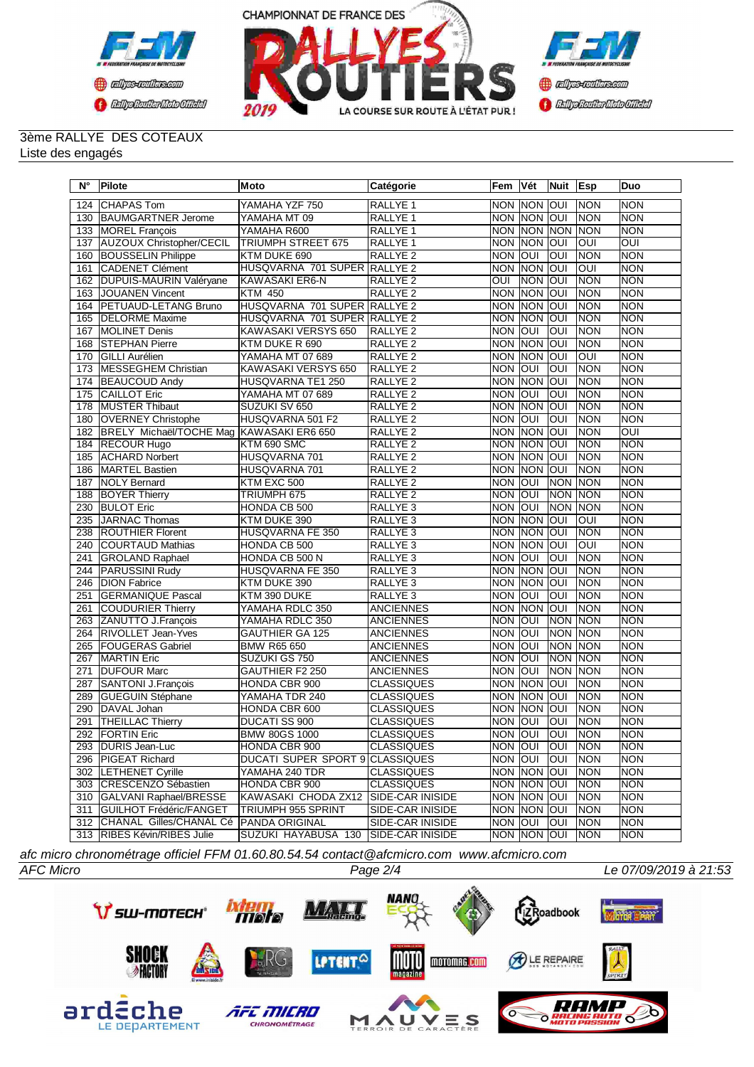



## 3ème RALLYE DES COTEAUX Liste des engagés

| $N^{\circ}$ | Pilote                          | Moto                            | Catégorie               | Fem             | Vét           | Nuit           | Esp         | Duo        |
|-------------|---------------------------------|---------------------------------|-------------------------|-----------------|---------------|----------------|-------------|------------|
| 124         | <b>CHAPAS Tom</b>               | YAMAHA YZF 750                  | RALLYE <sub>1</sub>     | NON NON         |               | loui           | <b>NON</b>  | <b>NON</b> |
| 130         | <b>BAUMGARTNER Jerome</b>       | YAMAHA MT 09                    | <b>RALLYE 1</b>         | <b>NON NON</b>  |               | loui           | <b>NON</b>  | <b>NON</b> |
| 133         | <b>MOREL François</b>           | YAMAHA R600                     | <b>RALLYE 1</b>         |                 | NON NON NON   |                | <b>NON</b>  | <b>NON</b> |
| 137         | <b>AUZOUX Christopher/CECIL</b> | <b>TRIUMPH STREET 675</b>       | <b>RALLYE 1</b>         | <b>NON NON</b>  |               | loui           | <b>OUI</b>  | OUI        |
| 160         | <b>BOUSSELIN Philippe</b>       | KTM DUKE 690                    | RALLYE <sub>2</sub>     | NON             | loui          | OUI            | <b>NON</b>  | <b>NON</b> |
| 161         | CADENET Clément                 | HUSQVARNA 701 SUPER RALLYE 2    |                         | NON NON         |               | loui           | lon         | <b>NON</b> |
| 162         | DUPUIS-MAURIN Valéryane         | <b>KAWASAKI ER6-N</b>           | <b>RALLYE 2</b>         | OUI             | NON           | loui           | <b>NON</b>  | <b>NON</b> |
| 163         | JOUANEN Vincent                 | $KTM$ 450                       | RALLYE <sub>2</sub>     | <b>NON</b>      | <b>NON</b>    | loui           | <b>NON</b>  | <b>NON</b> |
| 164         | <b>PETUAUD-LETANG Bruno</b>     | HUSQVARNA 701 SUPER RALLYE 2    |                         | NON             | <b>NON</b>    | loui           | <b>NON</b>  | <b>NON</b> |
| 165         | <b>DELORME Maxime</b>           | HUSQVARNA 701 SUPER RALLYE 2    |                         | NON             | <b>NON</b>    | loui           | <b>NON</b>  | <b>NON</b> |
| 167         | <b>IMOLINET Denis</b>           | KAWASAKI VERSYS 650             | RALLYE <sub>2</sub>     | NON             | loui          | OUI            | <b>NON</b>  | <b>NON</b> |
| 168         | <b>STEPHAN Pierre</b>           | KTM DUKE R 690                  | RALLYE <sub>2</sub>     | NON             | <b>NON</b>    | loui           | <b>NON</b>  | <b>NON</b> |
| 170         | <b>GILLI Aurélien</b>           | YAMAHA MT 07 689                | <b>RALLYE 2</b>         | <b>NON NON</b>  |               | loui           | <b>INO</b>  | <b>NON</b> |
| 173         | MESSEGHEM Christian             | KAWASAKI VERSYS 650             | RALLYE <sub>2</sub>     | NON             | loui          | OUI            | <b>NON</b>  | <b>NON</b> |
| 174         | <b>BEAUCOUD Andy</b>            | HUSQVARNA TE1 250               | RALLYE <sub>2</sub>     | <b>NON NON</b>  |               | loui           | <b>NON</b>  | <b>NON</b> |
| 175         | CAILLOT Eric                    | YAMAHA MT 07 689                | RALLYE <sub>2</sub>     | <b>NON</b>      | loui          | loui           | <b>NON</b>  | <b>NON</b> |
| 178         | <b>MUSTER Thibaut</b>           | SUZUKI SV 650                   | RALLYE <sub>2</sub>     | NON             | <b>NON</b>    | loui           | <b>NON</b>  | <b>NON</b> |
| 180         | <b>OVERNEY Christophe</b>       | HUSQVARNA 501 F2                | RALLYE <sub>2</sub>     | NON OUI         |               | loui           | <b>NON</b>  | <b>NON</b> |
| 182         | <b>BRELY Michaë/TOCHE Mag</b>   | KAWASAKI ER6 650                | RALLYE <sub>2</sub>     | <b>NON</b>      | <b>NON</b>    | loui           | <b>NON</b>  | OUI        |
| 184         | <b>RECOUR Hugo</b>              | KTM 690 SMC                     | RALLYE <sub>2</sub>     | NON             | <b>NON</b>    | loui           | <b>NON</b>  | <b>NON</b> |
| 185         | <b>ACHARD Norbert</b>           | HUSQVARNA 701                   | RALLYE <sub>2</sub>     | <b>NON</b>      | <b>NON</b>    | lon            | <b>NON</b>  | <b>NON</b> |
| 186         | <b>MARTEL Bastien</b>           | HUSQVARNA 701                   | RALLYE <sub>2</sub>     | <b>NON INON</b> |               | loni           | <b>NON</b>  | <b>NON</b> |
| 187         | <b>NOLY Bernard</b>             | KTM EXC 500                     | RALLYE <sub>2</sub>     | NON.            | loui          | <b>NON</b>     | <b>NON</b>  | <b>NON</b> |
| 188         | <b>BOYER Thierry</b>            | TRIUMPH 675                     | RALLYE <sub>2</sub>     | NON             | loui          | <b>NON</b>     | <b>NON</b>  | <b>NON</b> |
| 230         | <b>BULOT Eric</b>               | HONDA CB 500                    | RALLYE <sub>3</sub>     | NON OUI         |               | <b>NON</b>     | <b>NON</b>  | <b>NON</b> |
| 235         | <b>JARNAC Thomas</b>            | KTM DUKE 390                    | RALLYE <sub>3</sub>     | NON NON         |               | loui           | <b>OUI</b>  | <b>NON</b> |
| 238         | <b>ROUTHIER Florent</b>         | HUSQVARNA FE 350                | RALLYE <sub>3</sub>     | NON             | <b>NON</b>    | loui           | <b>NON</b>  | <b>NON</b> |
| 240         | COURTAUD Mathias                | HONDA CB 500                    | RALLYE <sub>3</sub>     | <b>NON</b>      | <b>NON</b>    | lon            | <b>OUI</b>  | <b>NON</b> |
| 241         | <b>GROLAND Raphael</b>          | HONDA CB 500 N                  | RALLYE <sub>3</sub>     | <b>NON</b>      | <b>OUI</b>    | <b>OUI</b>     | <b>NON</b>  | <b>NON</b> |
| 244         | PARUSSINI Rudy                  | HUSQVARNA FE 350                | RALLYE <sub>3</sub>     | <b>NON</b>      | <b>NON</b>    | loui           | <b>NON</b>  | <b>NON</b> |
| 246         | <b>DION Fabrice</b>             | KTM DUKE 390                    | RALLYE <sub>3</sub>     | <b>NON</b>      | <b>NON</b>    | loui           | <b>NON</b>  | <b>NON</b> |
| 251         | <b>GERMANIQUE Pascal</b>        | KTM 390 DUKE                    | RALLYE <sub>3</sub>     | <b>NON</b>      | loui          | OUI            | <b>NON</b>  | <b>NON</b> |
| 261         | <b>COUDURIER Thierry</b>        | YAMAHA RDLC 350                 | <b>ANCIENNES</b>        | <b>NON</b>      | <b>NON</b>    | loui           | <b>NON</b>  | <b>NON</b> |
| 263         | ZANUTTO J.François              | YAMAHA RDLC 350                 | <b>ANCIENNES</b>        | <b>NON</b>      | lon           | NON            | <b>NON</b>  | <b>NON</b> |
| 264         | RIVOLLET Jean-Yves              | <b>GAUTHIER GA 125</b>          | <b>ANCIENNES</b>        | <b>NON OUI</b>  |               | <b>NON</b>     | <b>NON</b>  | <b>NON</b> |
| 265         | <b>FOUGERAS Gabriel</b>         | <b>BMW R65 650</b>              | <b>ANCIENNES</b>        | NON             | loui          | <b>NON</b>     | <b>NON</b>  | <b>NON</b> |
| 267         | <b>MARTIN Eric</b>              | SUZUKI GS 750                   | <b>ANCIENNES</b>        | <b>NON</b>      | loui          | <b>NON</b>     | <b>NON</b>  | <b>NON</b> |
| 271         | <b>DUFOUR Marc</b>              | GAUTHIER F2 250                 | <b>ANCIENNES</b>        | NON OUI         |               | <b>NON</b>     | <b>NON</b>  | <b>NON</b> |
| 287         | SANTONI J.François              | HONDA CBR 900                   | <b>CLASSIQUES</b>       | NON             | <b>NON</b>    | loui           | <b>NON</b>  | <b>NON</b> |
| 289         | <b>GUEGUIN Stéphane</b>         | YAMAHA TDR 240                  | <b>CLASSIQUES</b>       | <b>NON</b>      | <b>NON</b>    | OUI            | <b>NON</b>  | <b>NON</b> |
| 290         | DAVAL Johan                     | HONDA CBR 600                   | <b>CLASSIQUES</b>       | <b>NON NON</b>  |               | loui           | <b>NON</b>  | <b>NON</b> |
| 291         | <b>THEILLAC Thierry</b>         | <b>DUCATI SS 900</b>            | <b>CLASSIQUES</b>       | <b>NON</b>      | loui          | OUI            | <b>NON</b>  | <b>NON</b> |
| 292         | <b>FORTIN Eric</b>              | <b>BMW 80GS 1000</b>            | <b>CLASSIQUES</b>       | NON OUI         |               | <b>OUI</b>     | <b>NON</b>  | <b>NON</b> |
|             | 293 DURIS Jean-Luc              | HONDA CBR 900                   | <b>CLASSIQUES</b>       | NON OUI         |               | <b>OUI</b> NON |             | NON        |
|             | 296   PIGEAT Richard            | DUCATI SUPER SPORT 9 CLASSIQUES |                         | NON OUI         |               | <b>OUI</b>     | <b>NON</b>  | <b>NON</b> |
| 302         | <b>LETHENET Cyrille</b>         | YAMAHA 240 TDR                  | <b>CLASSIQUES</b>       |                 | NON NON OUI   |                | <b>NON</b>  | <b>NON</b> |
|             | 303 CRESCENZO Sébastien         | HONDA CBR 900                   | <b>CLASSIQUES</b>       |                 | NON NON OUI   |                | <b>NON</b>  | <b>NON</b> |
| 310         | GALVANI Raphael/BRESSE          | KAWASAKI CHODA ZX12             | SIDE-CAR INISIDE        |                 | NON NON OUI   |                | <b>NON</b>  | <b>NON</b> |
| 311         | <b>IGUILHOT Frédéric/FANGET</b> | TRIUMPH 955 SPRINT              | SIDE-CAR INISIDE        |                 | NON INON IOUI |                | <b>INON</b> | <b>NON</b> |
|             | 312 CHANAL Gilles/CHANAL Cé     | PANDA ORIGINAL                  | SIDE-CAR INISIDE        | NON JOUI        |               | IOUI           | <b>INON</b> | <b>NON</b> |
|             | 313 RIBES Kévin/RIBES Julie     | SUZUKI HAYABUSA 130             | <b>SIDE-CAR INISIDE</b> |                 | NON MON JOUI  |                | <b>NON</b>  | <b>NON</b> |

*afc micro chronométrage officiel FFM 01.60.80.54.54 contact@afcmicro.com www.afcmicro.com*



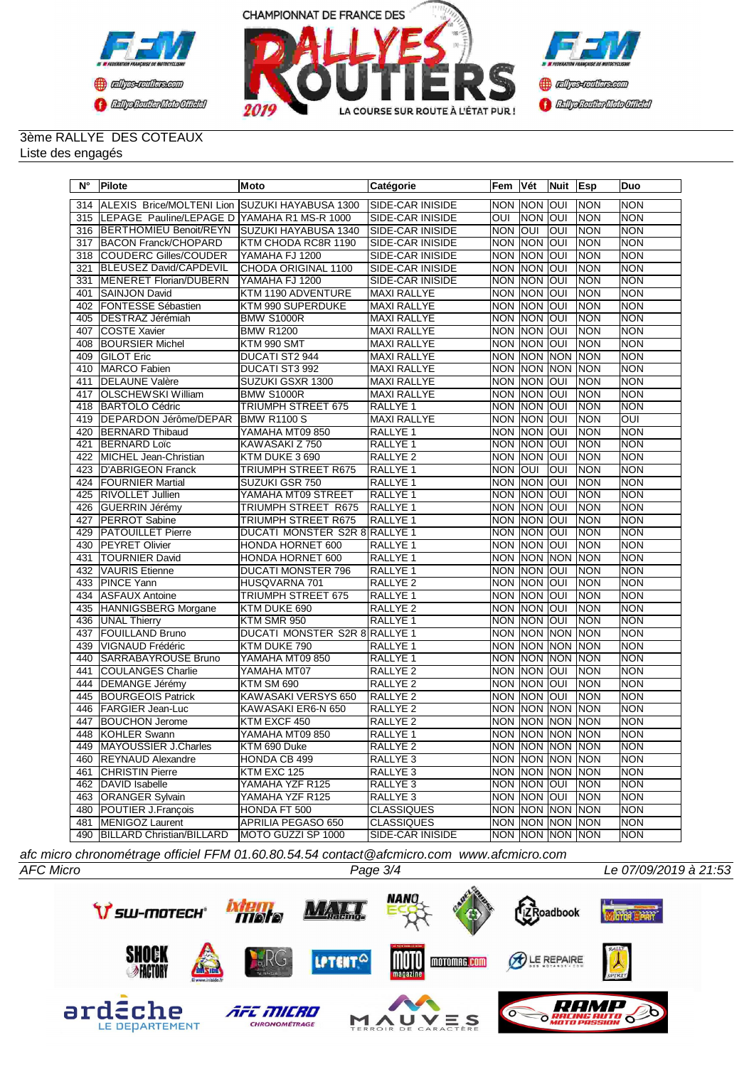



## 3ème RALLYE DES COTEAUX Liste des engagés

| $N^{\circ}$ | Pilote                           | Moto                          | Catégorie               | Fem        | <b>Vét</b>     | Nuit                | Esp         | Duo        |
|-------------|----------------------------------|-------------------------------|-------------------------|------------|----------------|---------------------|-------------|------------|
| 314         | ALEXIS Brice/MOLTENI Lion        | SUZUKI HAYABUSA 1300          | SIDE-CAR INISIDE        |            | NON NON OUI    |                     | <b>NON</b>  | <b>NON</b> |
| 315         | LEPAGE Pauline/LEPAGE D          | YAMAHA R1 MS-R 1000           | SIDE-CAR INISIDE        | OUI        | <b>NON</b>     | loui                | <b>NON</b>  | <b>NON</b> |
| 316         | BERTHOMIEU Benoit/REYN           | SUZUKI HAYABUSA 1340          | SIDE-CAR INISIDE        | NON OUI    |                | loui                | <b>INON</b> | <b>NON</b> |
| 317         | <b>BACON Franck/CHOPARD</b>      | KTM CHODA RC8R 1190           | SIDE-CAR INISIDE        |            | <b>NON NON</b> | loui                | <b>NON</b>  | <b>NON</b> |
| 318         | COUDERC Gilles/COUDER            | YAMAHA FJ 1200                | SIDE-CAR INISIDE        |            | <b>NON NON</b> | loui                | <b>NON</b>  | <b>NON</b> |
| 321         | <b>BLEUSEZ David/CAPDEVIL</b>    | CHODA ORIGINAL 1100           | SIDE-CAR INISIDE        |            | <b>NON NON</b> | loui                | <b>NON</b>  | <b>NON</b> |
| 331         | MENERET Florian/DUBERN           | YAMAHA FJ 1200                | <b>SIDE-CAR INISIDE</b> |            | <b>NON NON</b> | loui                | <b>NON</b>  | <b>NON</b> |
| 401         | SAINJON David                    | KTM 1190 ADVENTURE            | <b>MAXI RALLYE</b>      |            | NON NON        | loui                | <b>NON</b>  | <b>NON</b> |
| 402         | FONTESSE Sébastien               | KTM 990 SUPERDUKE             | <b>MAXI RALLYE</b>      |            | <b>NON NON</b> | loui                | <b>NON</b>  | <b>NON</b> |
| 405         | DESTRAZ Jérémiah                 | <b>BMW S1000R</b>             | <b>MAXI RALLYE</b>      |            | <b>NON NON</b> | loui                | <b>NON</b>  | <b>NON</b> |
| 407         | <b>COSTE Xavier</b>              | <b>BMW R1200</b>              | <b>MAXI RALLYE</b>      |            | <b>NON NON</b> | loui                | <b>NON</b>  | <b>NON</b> |
| 408         | <b>BOURSIER Michel</b>           | KTM 990 SMT                   | <b>MAXI RALLYE</b>      |            | <b>NON NON</b> | loui                | <b>NON</b>  | <b>NON</b> |
| 409         | <b>GILOT Eric</b>                | DUCATI ST2 944                | <b>MAXI RALLYE</b>      |            |                | NON NON NON         | <b>INON</b> | <b>NON</b> |
| 410         | MARCO Fabien                     | DUCATI ST3 992                | MAXI RALLYE             |            | <b>NON NON</b> | <b>NON</b>          | <b>NON</b>  | <b>NON</b> |
| 411         | <b>DELAUNE Valère</b>            | SUZUKI GSXR 1300              | <b>MAXI RALLYE</b>      |            | <b>NON NON</b> | loui                | <b>NON</b>  | <b>NON</b> |
| 417         | <b>OLSCHEWSKI William</b>        | BMW S1000R                    | <b>MAXI RALLYE</b>      |            | <b>NON NON</b> | loui                | <b>NON</b>  | <b>NON</b> |
| 418         | <b>BARTOLO Cédric</b>            | <b>TRIUMPH STREET 675</b>     | RALLYE 1                |            | <b>NON NON</b> | IOUI                | <b>NON</b>  | <b>NON</b> |
| 419         | <b>DEPARDON Jérôme/DEPAR</b>     | <b>BMW R1100 S</b>            | <b>MAXI RALLYE</b>      |            | NON NON        | loui                | <b>NON</b>  | OUI        |
| 420         | <b>BERNARD Thibaud</b>           | YAMAHA MT09 850               | RALLYE <sub>1</sub>     |            | <b>NON NON</b> | loui                | <b>NON</b>  | <b>NON</b> |
| 421         | <b>BERNARD Loïc</b>              | KAWASAKI Z 750                | RALLYE <sub>1</sub>     |            | <b>NON NON</b> | loui                | <b>NON</b>  | <b>NON</b> |
| 422         | MICHEL Jean-Christian            | KTM DUKE 3 690                | <b>RALLYE 2</b>         |            | <b>NON NON</b> | lour                | <b>NON</b>  | <b>NON</b> |
| 423         | <b>D'ABRIGEON Franck</b>         | <b>TRIUMPH STREET R675</b>    | RALLYE <sub>1</sub>     | <b>NON</b> | loui           | OUI                 | <b>NON</b>  | <b>NON</b> |
| 424         | <b>FOURNIER Martial</b>          | SUZUKI GSR 750                | RALLYE <sub>1</sub>     |            | <b>NON NON</b> | loui                | <b>NON</b>  | <b>NON</b> |
| 425         | <b>RIVOLLET Jullien</b>          | YAMAHA MT09 STREET            | <b>RALLYE 1</b>         |            | <b>NON NON</b> | loui                | <b>NON</b>  | <b>NON</b> |
| 426         | GUERRIN Jérémy                   | <b>TRIUMPH STREET R675</b>    | <b>RALLYE 1</b>         |            | <b>NON NON</b> | loui                | <b>NON</b>  | <b>NON</b> |
| 427         | PERROT Sabine                    | <b>TRIUMPH STREET R675</b>    | RALLYE 1                |            | <b>NON NON</b> | loui                | <b>NON</b>  | <b>NON</b> |
| 429         | <b>PATOUILLET Pierre</b>         | DUCATI MONSTER S2R 8          | <b>RALLYE 1</b>         |            | <b>NON NON</b> | IOUI                | <b>NON</b>  | <b>NON</b> |
| 430         | <b>PEYRET Olivier</b>            | HONDA HORNET 600              | RALLYE 1                |            | NON NON        | loui                | <b>NON</b>  | <b>NON</b> |
| 431         | <b>TOURNIER David</b>            | HONDA HORNET 600              | RALLYE 1                |            | <b>NON NON</b> | <b>NON</b>          | <b>NON</b>  | <b>NON</b> |
| 432         | <b>VAURIS</b> Etienne            | <b>DUCATI MONSTER 796</b>     | <b>RALLYE 1</b>         |            | NON NON        | loui                | <b>NON</b>  | <b>NON</b> |
| 433         | <b>PINCE Yann</b>                | HUSQVARNA 701                 | RALLYE <sub>2</sub>     | <b>NON</b> | <b>NON</b>     | loui                | <b>NON</b>  | <b>NON</b> |
| 434         | <b>ASFAUX Antoine</b>            | <b>TRIUMPH STREET 675</b>     | RALLYE <sub>1</sub>     |            | NON NON        | loui                | <b>NON</b>  | <b>NON</b> |
| 435         | HANNIGSBERG Morgane              | KTM DUKE 690                  | <b>RALLYE 2</b>         |            | <b>NON NON</b> | lour                | <b>NON</b>  | <b>NON</b> |
| 436         | <b>UNAL Thierry</b>              | KTM SMR 950                   | RALLYE 1                |            | <b>NON NON</b> | loui                | <b>NON</b>  | <b>NON</b> |
| 437         | FOUILLAND Bruno                  | DUCATI MONSTER S2R 8 RALLYE 1 |                         |            |                | NON NON NON         | <b>NON</b>  | <b>NON</b> |
| 439         | VIGNAUD Frédéric                 | KTM DUKE 790                  | RALLYE 1                |            |                | NON NON NON         | <b>NON</b>  | <b>NON</b> |
| 440         | SARRABAYROUSE Bruno              | YAMAHA MT09 850               | RALLYE 1                |            | <b>NON NON</b> | <b>NON</b>          | <b>NON</b>  | <b>NON</b> |
| 441         | COULANGES Charlie                | YAMAHA MT07                   | RALLYE <sub>2</sub>     |            | NON NON OUI    |                     | <b>NON</b>  | <b>NON</b> |
| 444         | DEMANGE Jérémy                   | <b>KTM SM 690</b>             | <b>RALLYE 2</b>         |            | <b>NON NON</b> | loui                | <b>NON</b>  | <b>NON</b> |
| 445         | <b>BOURGEOIS Patrick</b>         | KAWASAKI VERSYS 650           | RALLYE <sub>2</sub>     |            | NON NON        | loui                | <b>NON</b>  | <b>NON</b> |
| 446         | <b>FARGIER Jean-Luc</b>          | KAWASAKI ER6-N 650            | RALLYE <sub>2</sub>     |            |                | NON NON NON         | <b>NON</b>  | <b>NON</b> |
| 447         | <b>BOUCHON Jerome</b>            | KTM EXCF 450                  | <b>RALLYE 2</b>         | <b>NON</b> | <b>INON</b>    | <b>INON</b>         | <b>INON</b> | <b>NON</b> |
| 448         | <b>KOHLER Swann</b>              | YAMAHA MT09 850               | RALLYE 1                |            |                | NON INON INON INON  |             | <b>NON</b> |
|             | 449 MAYOUSSIER J.Charles         | KTM 690 Duke                  | RALLYE <sub>2</sub>     |            |                | NON NON NON NON     |             | NON        |
|             | 460 REYNAUD Alexandre            | HONDA CB 499                  | RALLYE <sub>3</sub>     |            |                | NON NON NON NON     |             | <b>NON</b> |
| 461         | CHRISTIN Pierre                  | KTM EXC 125                   | RALLYE <sub>3</sub>     |            |                | NON NON NON NON     |             | <b>NON</b> |
| 462         | DAVID Isabelle                   | YAMAHA YZF R125               | RALLYE 3                |            | NON NON OUI    |                     | <b>NON</b>  | <b>NON</b> |
|             | 463 ORANGER Sylvain              | YAMAHA YZF R125               | RALLYE <sub>3</sub>     |            | Inon Inon Ioui |                     | <b>NON</b>  | <b>NON</b> |
|             | 480 POUTIER J.François           | HONDA FT 500                  | <b>CLASSIQUES</b>       |            |                | NON NON NON NON     |             | <b>NON</b> |
| 481         | MENIGOZ Laurent                  | APRILIA PEGASO 650            | <b>CLASSIQUES</b>       |            |                | NON NON NON NON     |             | <b>NON</b> |
| 490         | <b>BILLARD Christian/BILLARD</b> | MOTO GUZZI SP 1000            | <b>SIDE-CAR INISIDE</b> |            |                | Inon Inon Inon Inon |             | NON        |

*afc micro chronométrage officiel FFM 01.60.80.54.54 contact@afcmicro.com www.afcmicro.com*